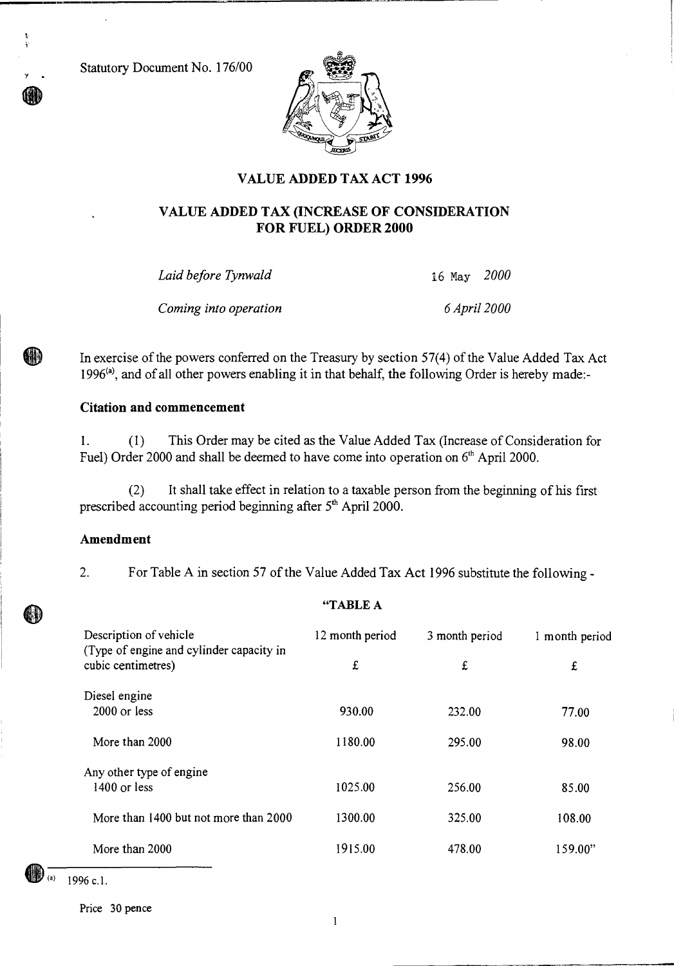Statutory Document No. 176/00

r .

HIA



## **VALUE ADDED TAX ACT 1996**

### **VALUE ADDED TAX (INCREASE OF CONSIDERATION FOR FUEL) ORDER 2000**

*Laid before Tynwald* 16 May *2000* 

*Coming into operation 6 April 2000* 

In exercise of the powers conferred on the Treasury by section 57(4) of the Value Added Tax Act 1996<sup>(a)</sup>, and of all other powers enabling it in that behalf, the following Order is hereby made:-

#### **Citation and commencement**

1. (1) This Order may be cited as the Value Added Tax (Increase of Consideration for Fuel) Order 2000 and shall be deemed to have come into operation on  $6<sup>th</sup>$  April 2000.

(2) It shall take effect in relation to a taxable person from the beginning of his first prescribed accounting period beginning after  $5<sup>th</sup>$  April 2000.

#### **Amendment**

2. For Table A in section 57 of the Value Added Tax Act 1996 substitute the following -

"TABLE A

| Description of vehicle<br>(Type of engine and cylinder capacity in<br>cubic centimetres) | 12 month period | 3 month period | 1 month period |
|------------------------------------------------------------------------------------------|-----------------|----------------|----------------|
|                                                                                          | £               | £              | £              |
| Diesel engine                                                                            |                 |                |                |
| $2000$ or less                                                                           | 930.00          | 232.00         | 77.00          |
| More than 2000                                                                           | 1180.00         | 295.00         | 98.00          |
| Any other type of engine                                                                 |                 |                |                |
| 1400 or less                                                                             | 1025.00         | 256.00         | 85.00          |
| More than 1400 but not more than 2000                                                    | 1300.00         | 325.00         | 108.00         |
| More than 2000                                                                           | 1915.00         | 478.00         | 159.00"        |

1996 c.l.

Price 30 pence